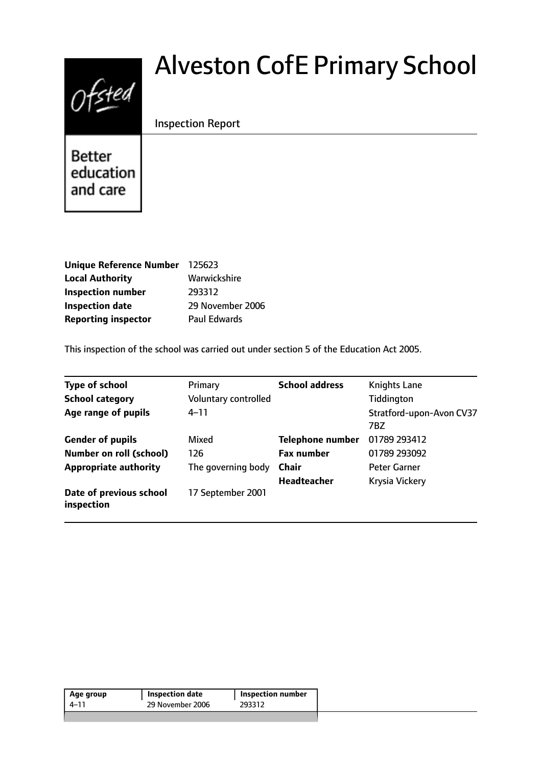# $0$ fsted

# Alveston CofE Primary School

# Inspection Report

**Better** education and care

| Unique Reference Number 125623 |                  |
|--------------------------------|------------------|
| <b>Local Authority</b>         | Warwickshire     |
| <b>Inspection number</b>       | 293312           |
| <b>Inspection date</b>         | 29 November 2006 |
| <b>Reporting inspector</b>     | Paul Edwards     |

This inspection of the school was carried out under section 5 of the Education Act 2005.

| <b>Type of school</b>                 | Primary              | <b>School address</b>   | <b>Knights Lane</b>                    |
|---------------------------------------|----------------------|-------------------------|----------------------------------------|
| <b>School category</b>                | Voluntary controlled |                         | Tiddington                             |
| Age range of pupils                   | $4 - 11$             |                         | Stratford-upon-Avon CV37<br><b>7BZ</b> |
| <b>Gender of pupils</b>               | Mixed                | <b>Telephone number</b> | 01789 293412                           |
| <b>Number on roll (school)</b>        | 126                  | <b>Fax number</b>       | 01789 293092                           |
| <b>Appropriate authority</b>          | The governing body   | <b>Chair</b>            | <b>Peter Garner</b>                    |
|                                       |                      | <b>Headteacher</b>      | Krysia Vickery                         |
| Date of previous school<br>inspection | 17 September 2001    |                         |                                        |

| Age group | Inspection date  | <b>Inspection number</b> |
|-----------|------------------|--------------------------|
| 4–11      | 29 November 2006 | 293312                   |
|           |                  |                          |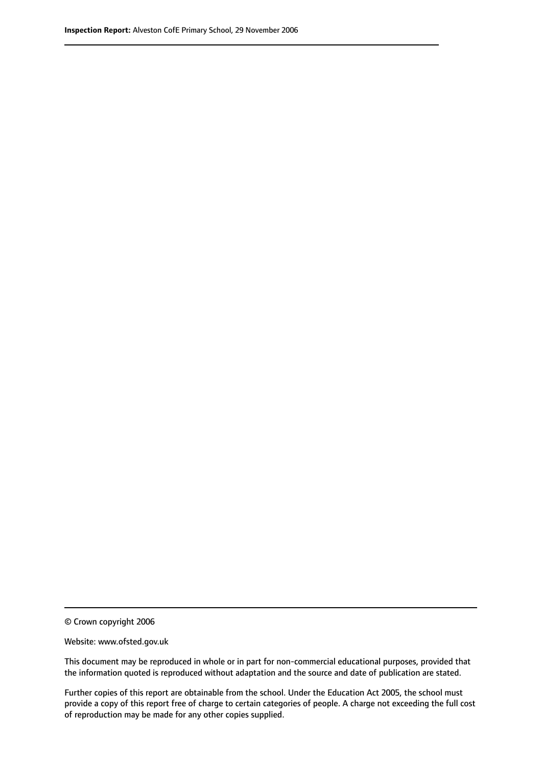© Crown copyright 2006

Website: www.ofsted.gov.uk

This document may be reproduced in whole or in part for non-commercial educational purposes, provided that the information quoted is reproduced without adaptation and the source and date of publication are stated.

Further copies of this report are obtainable from the school. Under the Education Act 2005, the school must provide a copy of this report free of charge to certain categories of people. A charge not exceeding the full cost of reproduction may be made for any other copies supplied.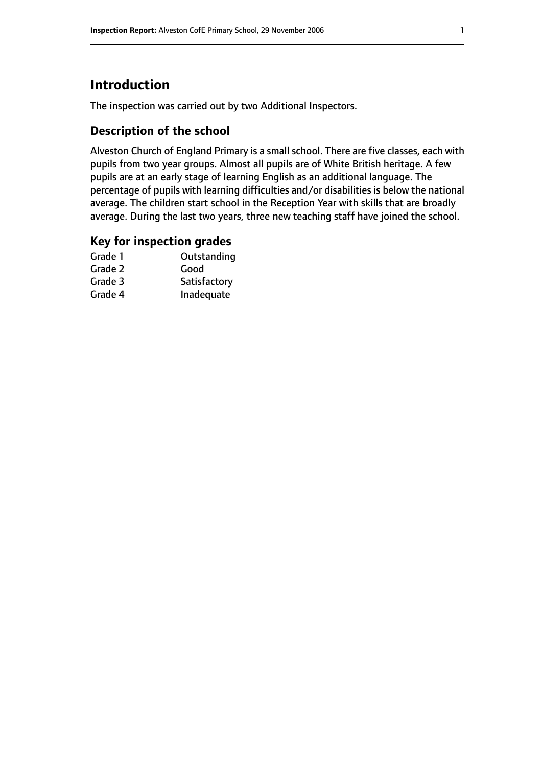# **Introduction**

The inspection was carried out by two Additional Inspectors.

# **Description of the school**

Alveston Church of England Primary is a small school. There are five classes, each with pupils from two year groups. Almost all pupils are of White British heritage. A few pupils are at an early stage of learning English as an additional language. The percentage of pupils with learning difficulties and/or disabilities is below the national average. The children start school in the Reception Year with skills that are broadly average. During the last two years, three new teaching staff have joined the school.

#### **Key for inspection grades**

| Outstanding  |
|--------------|
| Good         |
| Satisfactory |
| Inadequate   |
|              |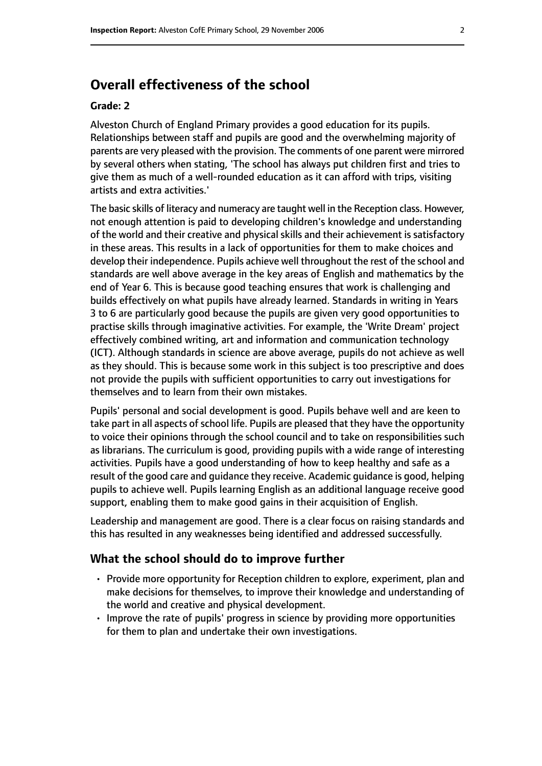# **Overall effectiveness of the school**

#### **Grade: 2**

Alveston Church of England Primary provides a good education for its pupils. Relationships between staff and pupils are good and the overwhelming majority of parents are very pleased with the provision. The comments of one parent were mirrored by several others when stating, 'The school has always put children first and tries to give them as much of a well-rounded education as it can afford with trips, visiting artists and extra activities.'

The basic skills of literacy and numeracy are taught well in the Reception class. However, not enough attention is paid to developing children's knowledge and understanding of the world and their creative and physical skills and their achievement is satisfactory in these areas. This results in a lack of opportunities for them to make choices and develop their independence. Pupils achieve well throughout the rest of the school and standards are well above average in the key areas of English and mathematics by the end of Year 6. This is because good teaching ensures that work is challenging and builds effectively on what pupils have already learned. Standards in writing in Years 3 to 6 are particularly good because the pupils are given very good opportunities to practise skills through imaginative activities. For example, the 'Write Dream' project effectively combined writing, art and information and communication technology (ICT). Although standards in science are above average, pupils do not achieve as well as they should. This is because some work in this subject is too prescriptive and does not provide the pupils with sufficient opportunities to carry out investigations for themselves and to learn from their own mistakes.

Pupils' personal and social development is good. Pupils behave well and are keen to take part in all aspects of school life. Pupils are pleased that they have the opportunity to voice their opinions through the school council and to take on responsibilities such as librarians. The curriculum is good, providing pupils with a wide range of interesting activities. Pupils have a good understanding of how to keep healthy and safe as a result of the good care and guidance they receive. Academic guidance is good, helping pupils to achieve well. Pupils learning English as an additional language receive good support, enabling them to make good gains in their acquisition of English.

Leadership and management are good. There is a clear focus on raising standards and this has resulted in any weaknesses being identified and addressed successfully.

#### **What the school should do to improve further**

- Provide more opportunity for Reception children to explore, experiment, plan and make decisions for themselves, to improve their knowledge and understanding of the world and creative and physical development.
- Improve the rate of pupils' progress in science by providing more opportunities for them to plan and undertake their own investigations.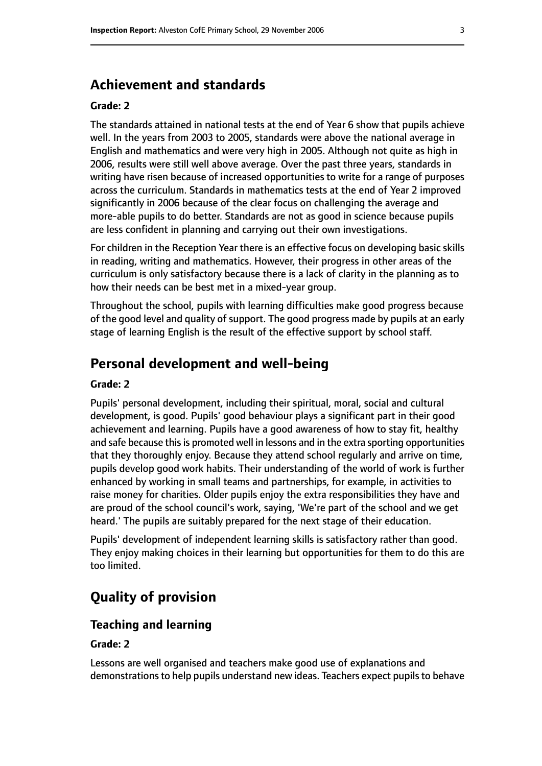# **Achievement and standards**

#### **Grade: 2**

The standards attained in national tests at the end of Year 6 show that pupils achieve well. In the years from 2003 to 2005, standards were above the national average in English and mathematics and were very high in 2005. Although not quite as high in 2006, results were still well above average. Over the past three years, standards in writing have risen because of increased opportunities to write for a range of purposes across the curriculum. Standards in mathematics tests at the end of Year 2 improved significantly in 2006 because of the clear focus on challenging the average and more-able pupils to do better. Standards are not as good in science because pupils are less confident in planning and carrying out their own investigations.

For children in the Reception Year there is an effective focus on developing basic skills in reading, writing and mathematics. However, their progress in other areas of the curriculum is only satisfactory because there is a lack of clarity in the planning as to how their needs can be best met in a mixed-year group.

Throughout the school, pupils with learning difficulties make good progress because of the good level and quality of support. The good progress made by pupils at an early stage of learning English is the result of the effective support by school staff.

# **Personal development and well-being**

#### **Grade: 2**

Pupils' personal development, including their spiritual, moral, social and cultural development, is good. Pupils' good behaviour plays a significant part in their good achievement and learning. Pupils have a good awareness of how to stay fit, healthy and safe because this is promoted well in lessons and in the extra sporting opportunities that they thoroughly enjoy. Because they attend school regularly and arrive on time, pupils develop good work habits. Their understanding of the world of work is further enhanced by working in small teams and partnerships, for example, in activities to raise money for charities. Older pupils enjoy the extra responsibilities they have and are proud of the school council's work, saying, 'We're part of the school and we get heard.' The pupils are suitably prepared for the next stage of their education.

Pupils' development of independent learning skills is satisfactory rather than good. They enjoy making choices in their learning but opportunities for them to do this are too limited.

# **Quality of provision**

#### **Teaching and learning**

#### **Grade: 2**

Lessons are well organised and teachers make good use of explanations and demonstrations to help pupils understand new ideas. Teachers expect pupils to behave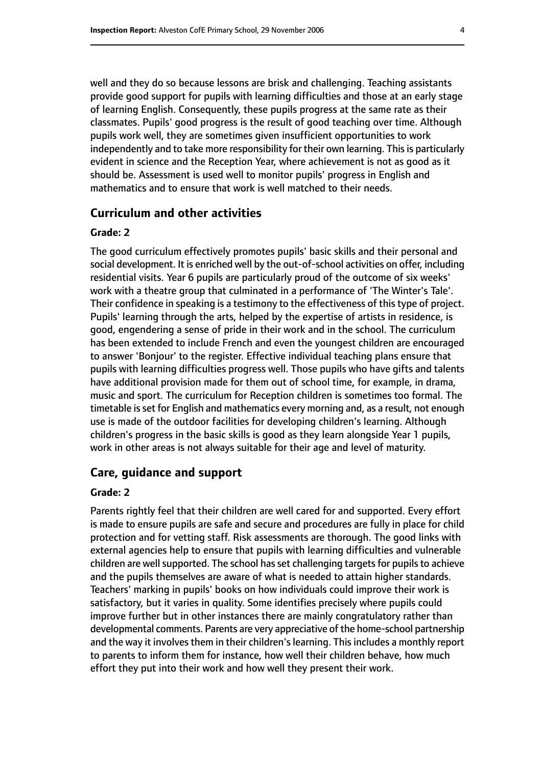well and they do so because lessons are brisk and challenging. Teaching assistants provide good support for pupils with learning difficulties and those at an early stage of learning English. Consequently, these pupils progress at the same rate as their classmates. Pupils' good progress is the result of good teaching over time. Although pupils work well, they are sometimes given insufficient opportunities to work independently and to take more responsibility for their own learning. This is particularly evident in science and the Reception Year, where achievement is not as good as it should be. Assessment is used well to monitor pupils' progress in English and mathematics and to ensure that work is well matched to their needs.

#### **Curriculum and other activities**

#### **Grade: 2**

The good curriculum effectively promotes pupils' basic skills and their personal and social development. It is enriched well by the out-of-school activities on offer, including residential visits. Year 6 pupils are particularly proud of the outcome of six weeks' work with a theatre group that culminated in a performance of 'The Winter's Tale'. Their confidence in speaking is a testimony to the effectiveness of this type of project. Pupils' learning through the arts, helped by the expertise of artists in residence, is good, engendering a sense of pride in their work and in the school. The curriculum has been extended to include French and even the youngest children are encouraged to answer 'Bonjour' to the register. Effective individual teaching plans ensure that pupils with learning difficulties progress well. Those pupils who have gifts and talents have additional provision made for them out of school time, for example, in drama, music and sport. The curriculum for Reception children is sometimes too formal. The timetable is set for English and mathematics every morning and, as a result, not enough use is made of the outdoor facilities for developing children's learning. Although children's progress in the basic skills is good as they learn alongside Year 1 pupils, work in other areas is not always suitable for their age and level of maturity.

#### **Care, guidance and support**

#### **Grade: 2**

Parents rightly feel that their children are well cared for and supported. Every effort is made to ensure pupils are safe and secure and procedures are fully in place for child protection and for vetting staff. Risk assessments are thorough. The good links with external agencies help to ensure that pupils with learning difficulties and vulnerable children are well supported. The school has set challenging targets for pupils to achieve and the pupils themselves are aware of what is needed to attain higher standards. Teachers' marking in pupils' books on how individuals could improve their work is satisfactory, but it varies in quality. Some identifies precisely where pupils could improve further but in other instances there are mainly congratulatory rather than developmental comments. Parents are very appreciative of the home-school partnership and the way it involves them in their children's learning. This includes a monthly report to parents to inform them for instance, how well their children behave, how much effort they put into their work and how well they present their work.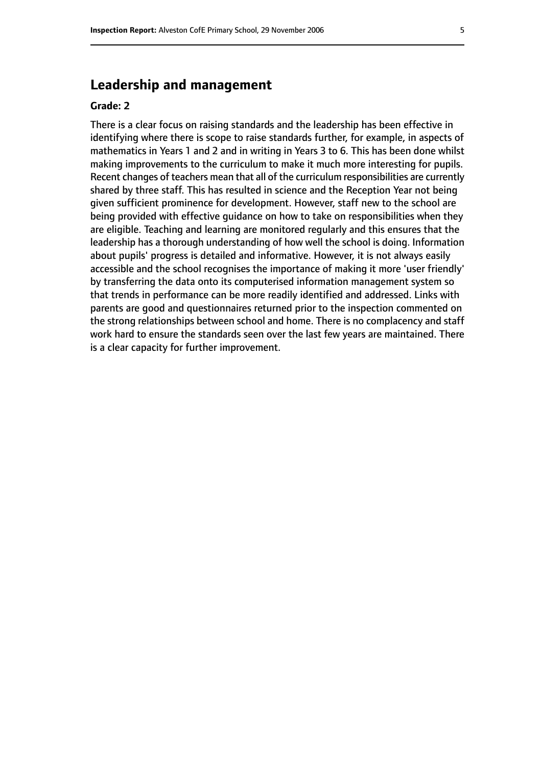### **Leadership and management**

#### **Grade: 2**

There is a clear focus on raising standards and the leadership has been effective in identifying where there is scope to raise standards further, for example, in aspects of mathematics in Years 1 and 2 and in writing in Years 3 to 6. This has been done whilst making improvements to the curriculum to make it much more interesting for pupils. Recent changes of teachers mean that all of the curriculum responsibilities are currently shared by three staff. This has resulted in science and the Reception Year not being given sufficient prominence for development. However, staff new to the school are being provided with effective guidance on how to take on responsibilities when they are eligible. Teaching and learning are monitored regularly and this ensures that the leadership has a thorough understanding of how well the school is doing. Information about pupils' progress is detailed and informative. However, it is not always easily accessible and the school recognises the importance of making it more 'user friendly' by transferring the data onto its computerised information management system so that trends in performance can be more readily identified and addressed. Links with parents are good and questionnaires returned prior to the inspection commented on the strong relationships between school and home. There is no complacency and staff work hard to ensure the standards seen over the last few years are maintained. There is a clear capacity for further improvement.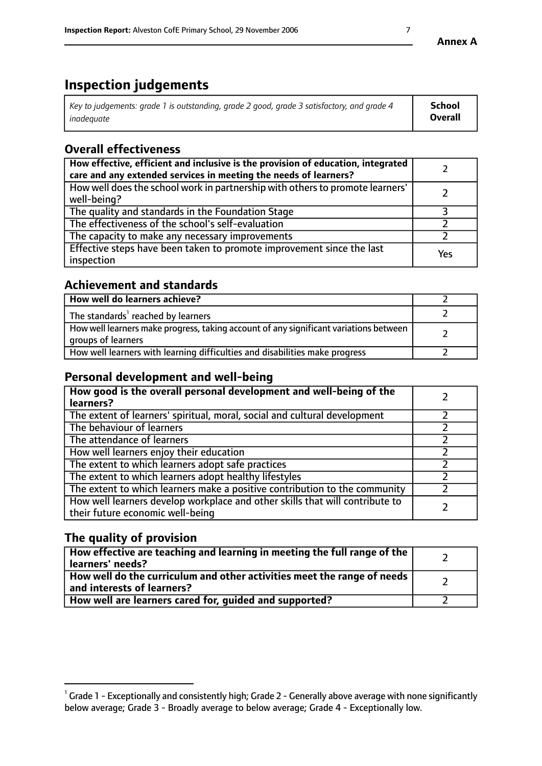# **Inspection judgements**

| Key to judgements: grade 1 is outstanding, grade 2 good, grade 3 satisfactory, and grade 4 | <b>School</b>  |
|--------------------------------------------------------------------------------------------|----------------|
| inadeauate                                                                                 | <b>Overall</b> |

# **Overall effectiveness**

| How effective, efficient and inclusive is the provision of education, integrated<br>care and any extended services in meeting the needs of learners? |     |
|------------------------------------------------------------------------------------------------------------------------------------------------------|-----|
| How well does the school work in partnership with others to promote learners'<br>well-being?                                                         |     |
| The quality and standards in the Foundation Stage                                                                                                    |     |
| The effectiveness of the school's self-evaluation                                                                                                    |     |
| The capacity to make any necessary improvements                                                                                                      |     |
| Effective steps have been taken to promote improvement since the last<br>inspection                                                                  | Yes |

# **Achievement and standards**

| How well do learners achieve?                                                                               |  |
|-------------------------------------------------------------------------------------------------------------|--|
| The standards <sup>1</sup> reached by learners                                                              |  |
| How well learners make progress, taking account of any significant variations between<br>groups of learners |  |
| How well learners with learning difficulties and disabilities make progress                                 |  |

# **Personal development and well-being**

| How good is the overall personal development and well-being of the<br>learners?                                  |  |
|------------------------------------------------------------------------------------------------------------------|--|
| The extent of learners' spiritual, moral, social and cultural development                                        |  |
| The behaviour of learners                                                                                        |  |
| The attendance of learners                                                                                       |  |
| How well learners enjoy their education                                                                          |  |
| The extent to which learners adopt safe practices                                                                |  |
| The extent to which learners adopt healthy lifestyles                                                            |  |
| The extent to which learners make a positive contribution to the community                                       |  |
| How well learners develop workplace and other skills that will contribute to<br>their future economic well-being |  |

# **The quality of provision**

| How effective are teaching and learning in meeting the full range of the<br>  learners' needs?                      |  |
|---------------------------------------------------------------------------------------------------------------------|--|
| $\mid$ How well do the curriculum and other activities meet the range of needs<br>$\mid$ and interests of learners? |  |
| How well are learners cared for, guided and supported?                                                              |  |

 $^1$  Grade 1 - Exceptionally and consistently high; Grade 2 - Generally above average with none significantly below average; Grade 3 - Broadly average to below average; Grade 4 - Exceptionally low.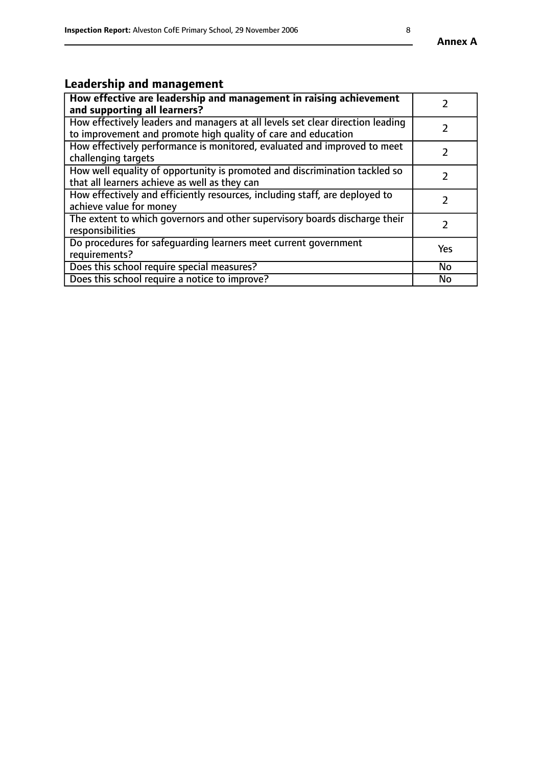# **Leadership and management**

| How effective are leadership and management in raising achievement<br>and supporting all learners?                                              |               |
|-------------------------------------------------------------------------------------------------------------------------------------------------|---------------|
| How effectively leaders and managers at all levels set clear direction leading<br>to improvement and promote high quality of care and education |               |
| How effectively performance is monitored, evaluated and improved to meet<br>challenging targets                                                 | $\mathcal{L}$ |
| How well equality of opportunity is promoted and discrimination tackled so<br>that all learners achieve as well as they can                     |               |
| How effectively and efficiently resources, including staff, are deployed to<br>achieve value for money                                          | $\mathcal{P}$ |
| The extent to which governors and other supervisory boards discharge their<br>responsibilities                                                  |               |
| Do procedures for safequarding learners meet current government<br>requirements?                                                                | Yes           |
| Does this school require special measures?                                                                                                      | No            |
| Does this school require a notice to improve?                                                                                                   | <b>No</b>     |